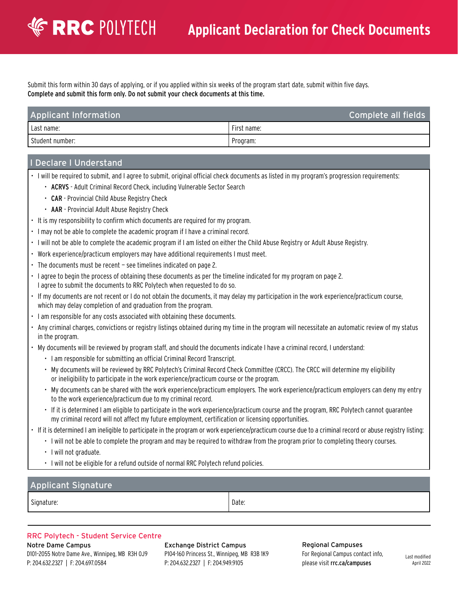Submit this form within 30 days of applying, or if you applied within six weeks of the program start date, submit within five days. Complete and submit this form only. Do not submit your check documents at this time.

| <b>Applicant Information</b> | Complete all fields |
|------------------------------|---------------------|
| I Last name:                 | First name:         |
| Student number:              | ' Program:          |

### Declare I Understand

**EXPRC POLYTECH** 

• I will be required to submit, and I agree to submit, original official check documents as listed in my program's progression requirements:

- ACRVS Adult Criminal Record Check, including Vulnerable Sector Search
- CAR Provincial Child Abuse Registry Check
- AAR Provincial Adult Abuse Registry Check
- It is my responsibility to confirm which documents are required for my program.
- I may not be able to complete the academic program if I have a criminal record.
- I will not be able to complete the academic program if I am listed on either the Child Abuse Registry or Adult Abuse Registry.
- Work experience/practicum employers may have additional requirements I must meet.
- The documents must be recent see timelines indicated on page 2.
- I agree to begin the process of obtaining these documents as per the timeline indicated for my program on page 2. I agree to submit the documents to RRC Polytech when requested to do so.
- If my documents are not recent or I do not obtain the documents, it may delay my participation in the work experience/practicum course, which may delay completion of and graduation from the program.
- I am responsible for any costs associated with obtaining these documents.
- Any criminal charges, convictions or registry listings obtained during my time in the program will necessitate an automatic review of my status in the program.
- My documents will be reviewed by program staff, and should the documents indicate I have a criminal record, I understand:
	- I am responsible for submitting an official Criminal Record Transcript.
	- My documents will be reviewed by RRC Polytech's Criminal Record Check Committee (CRCC). The CRCC will determine my eligibility or ineligibility to participate in the work experience/practicum course or the program.
	- My documents can be shared with the work experience/practicum employers. The work experience/practicum employers can deny my entry to the work experience/practicum due to my criminal record.
	- If it is determined I am eligible to participate in the work experience/practicum course and the program, RRC Polytech cannot guarantee my criminal record will not affect my future employment, certification or licensing opportunities.
- If it is determined I am ineligible to participate in the program or work experience/practicum course due to a criminal record or abuse registry listing:
	- I will not be able to complete the program and may be required to withdraw from the program prior to completing theory courses.
	- I will not graduate.
	- I will not be eligible for a refund outside of normal RRC Polytech refund policies.

### Applicant Signature

Signature: Date: Date: Date: Date: Date: Date: Date: Date: Date: Date: Date: Date: Date: Date: Date: Date: Date: Date: Date: Date: Date: Date: Date: Date: Date: Date: Date: Date: Date: Date: Date: Date: Date: Date: Date: D

### RRC Polytech - Student Service Centre

Notre Dame Campus D101–2055 Notre Dame Ave., Winnipeg, MB R3H 0J9 P: 204.632.2327 | F: 204.697.0584

Exchange District Campus P104-160 Princess St., Winnipeg, MB R3B 1K9 P: 204.632.2327 | F: 204.949.9105

Regional Campuses For Regional Campus contact info, please visit [rrc.ca/campuses](http://www.rrc.ca/campuses/)